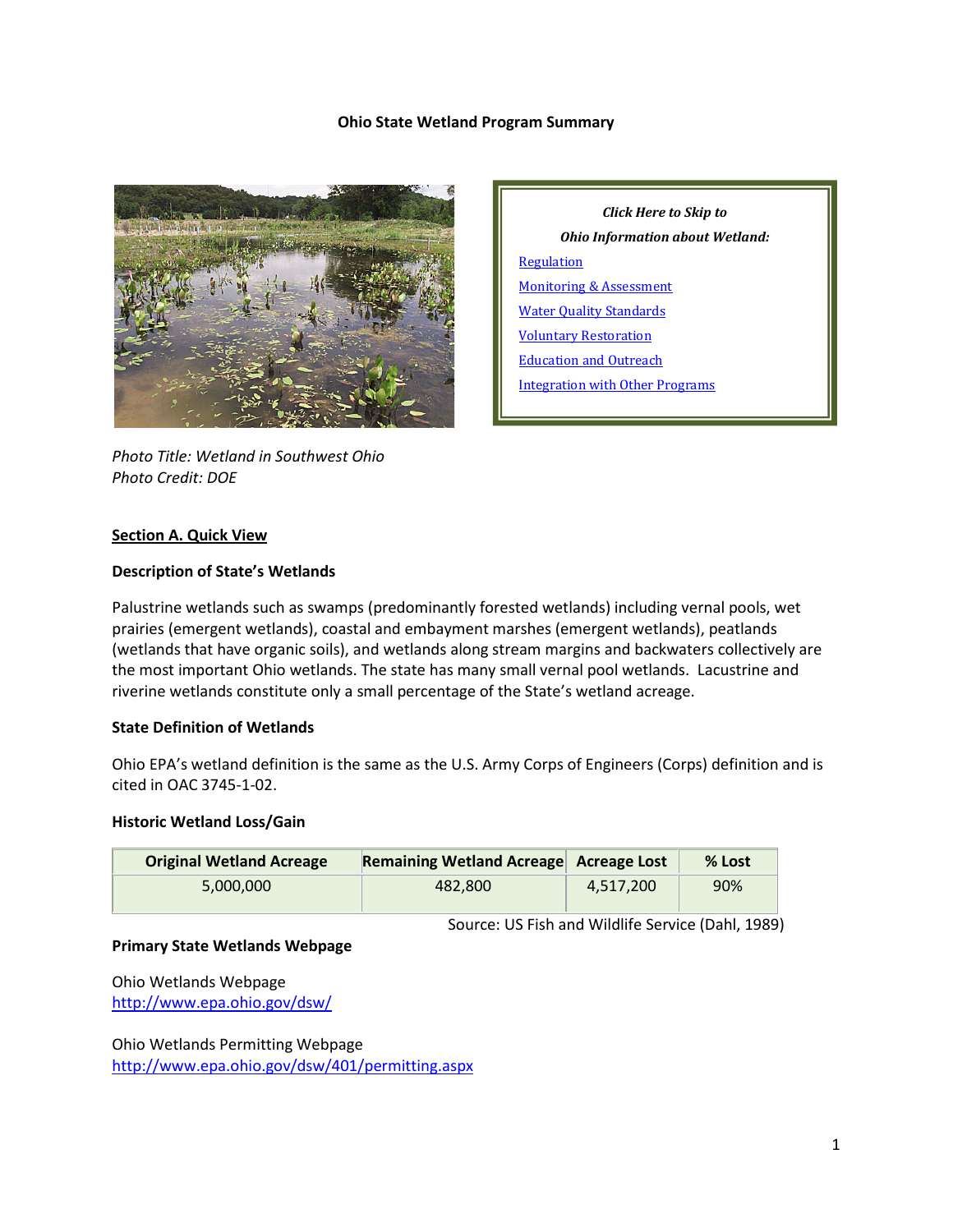#### **Ohio State Wetland Program Summary**



*Photo Title: Wetland in Southwest Ohio Photo Credit: DOE*

*Click Here to Skip to Ohio Information about Wetland:* **[Regulation](#page-2-0)** [Monitoring & Assessment](#page-6-0) [Water Quality Standards](#page-7-0) [Voluntary Restoration](#page-9-0) [Education and Outreach](#page-10-0) [Integration with Other Programs](#page-10-1)

### **Section A. Quick View**

#### **Description of State's Wetlands**

Palustrine wetlands such as swamps (predominantly forested wetlands) including vernal pools, wet prairies (emergent wetlands), coastal and embayment marshes (emergent wetlands), peatlands (wetlands that have organic soils), and wetlands along stream margins and backwaters collectively are the most important Ohio wetlands. The state has many small vernal pool wetlands. Lacustrine and riverine wetlands constitute only a small percentage of the State's wetland acreage.

### **State Definition of Wetlands**

Ohio EPA's wetland definition is the same as the U.S. Army Corps of Engineers (Corps) definition and is cited in OAC 3745-1-02.

#### **Historic Wetland Loss/Gain**

| <b>Original Wetland Acreage</b> | Remaining Wetland Acreage Acreage Lost |           | % Lost |
|---------------------------------|----------------------------------------|-----------|--------|
| 5.000.000                       | 482.800                                | 4.517.200 | 90%    |

Source: US Fish and Wildlife Service (Dahl, 1989)

#### **Primary State Wetlands Webpage**

Ohio Wetlands Webpage <http://www.epa.ohio.gov/dsw/>

Ohio Wetlands Permitting Webpage <http://www.epa.ohio.gov/dsw/401/permitting.aspx>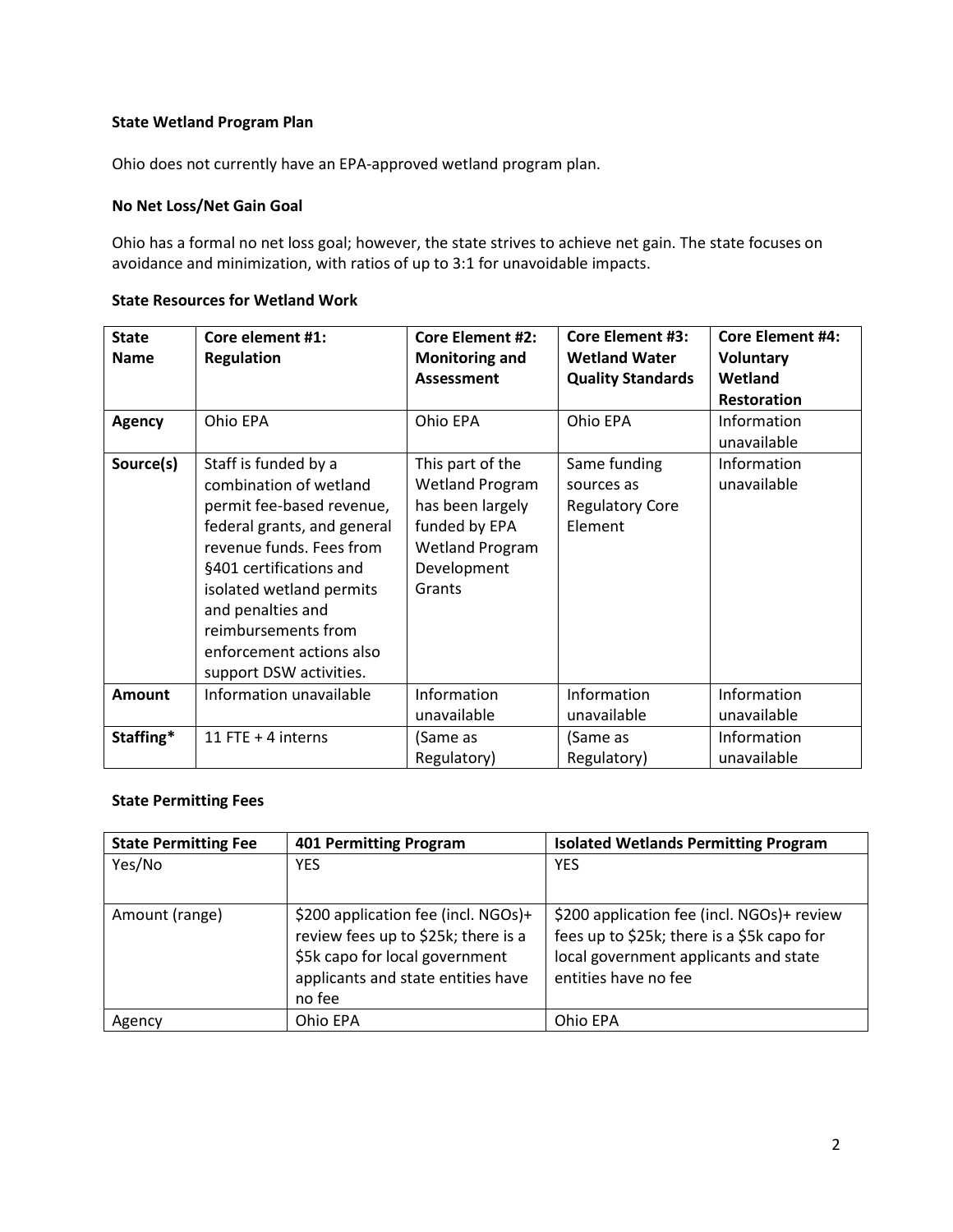### **State Wetland Program Plan**

Ohio does not currently have an EPA-approved wetland program plan.

## **No Net Loss/Net Gain Goal**

Ohio has a formal no net loss goal; however, the state strives to achieve net gain. The state focuses on avoidance and minimization, with ratios of up to 3:1 for unavoidable impacts.

## **State Resources for Wetland Work**

| <b>State</b><br><b>Name</b> | Core element #1:<br><b>Regulation</b>                                                                                                                                                                                                                                                            | <b>Core Element #2:</b><br><b>Monitoring and</b><br>Assessment                                                                     | <b>Core Element #3:</b><br><b>Wetland Water</b><br><b>Quality Standards</b> | <b>Core Element #4:</b><br><b>Voluntary</b><br>Wetland<br><b>Restoration</b> |
|-----------------------------|--------------------------------------------------------------------------------------------------------------------------------------------------------------------------------------------------------------------------------------------------------------------------------------------------|------------------------------------------------------------------------------------------------------------------------------------|-----------------------------------------------------------------------------|------------------------------------------------------------------------------|
| <b>Agency</b>               | Ohio EPA                                                                                                                                                                                                                                                                                         | Ohio EPA                                                                                                                           | Ohio EPA                                                                    | Information<br>unavailable                                                   |
| Source(s)                   | Staff is funded by a<br>combination of wetland<br>permit fee-based revenue,<br>federal grants, and general<br>revenue funds. Fees from<br>§401 certifications and<br>isolated wetland permits<br>and penalties and<br>reimbursements from<br>enforcement actions also<br>support DSW activities. | This part of the<br><b>Wetland Program</b><br>has been largely<br>funded by EPA<br><b>Wetland Program</b><br>Development<br>Grants | Same funding<br>sources as<br><b>Regulatory Core</b><br>Element             | Information<br>unavailable                                                   |
| <b>Amount</b>               | Information unavailable                                                                                                                                                                                                                                                                          | Information<br>unavailable                                                                                                         | Information<br>unavailable                                                  | Information<br>unavailable                                                   |
| Staffing*                   | 11 FTE $+$ 4 interns                                                                                                                                                                                                                                                                             | (Same as<br>Regulatory)                                                                                                            | (Same as<br>Regulatory)                                                     | Information<br>unavailable                                                   |

### **State Permitting Fees**

| <b>State Permitting Fee</b> | <b>401 Permitting Program</b>       | <b>Isolated Wetlands Permitting Program</b> |
|-----------------------------|-------------------------------------|---------------------------------------------|
| Yes/No                      | <b>YES</b>                          | <b>YES</b>                                  |
|                             |                                     |                                             |
| Amount (range)              | \$200 application fee (incl. NGOs)+ | \$200 application fee (incl. NGOs)+ review  |
|                             | review fees up to \$25k; there is a | fees up to \$25k; there is a \$5k capo for  |
|                             | \$5k capo for local government      | local government applicants and state       |
|                             | applicants and state entities have  | entities have no fee                        |
|                             | no fee                              |                                             |
| Agency                      | Ohio EPA                            | Ohio EPA                                    |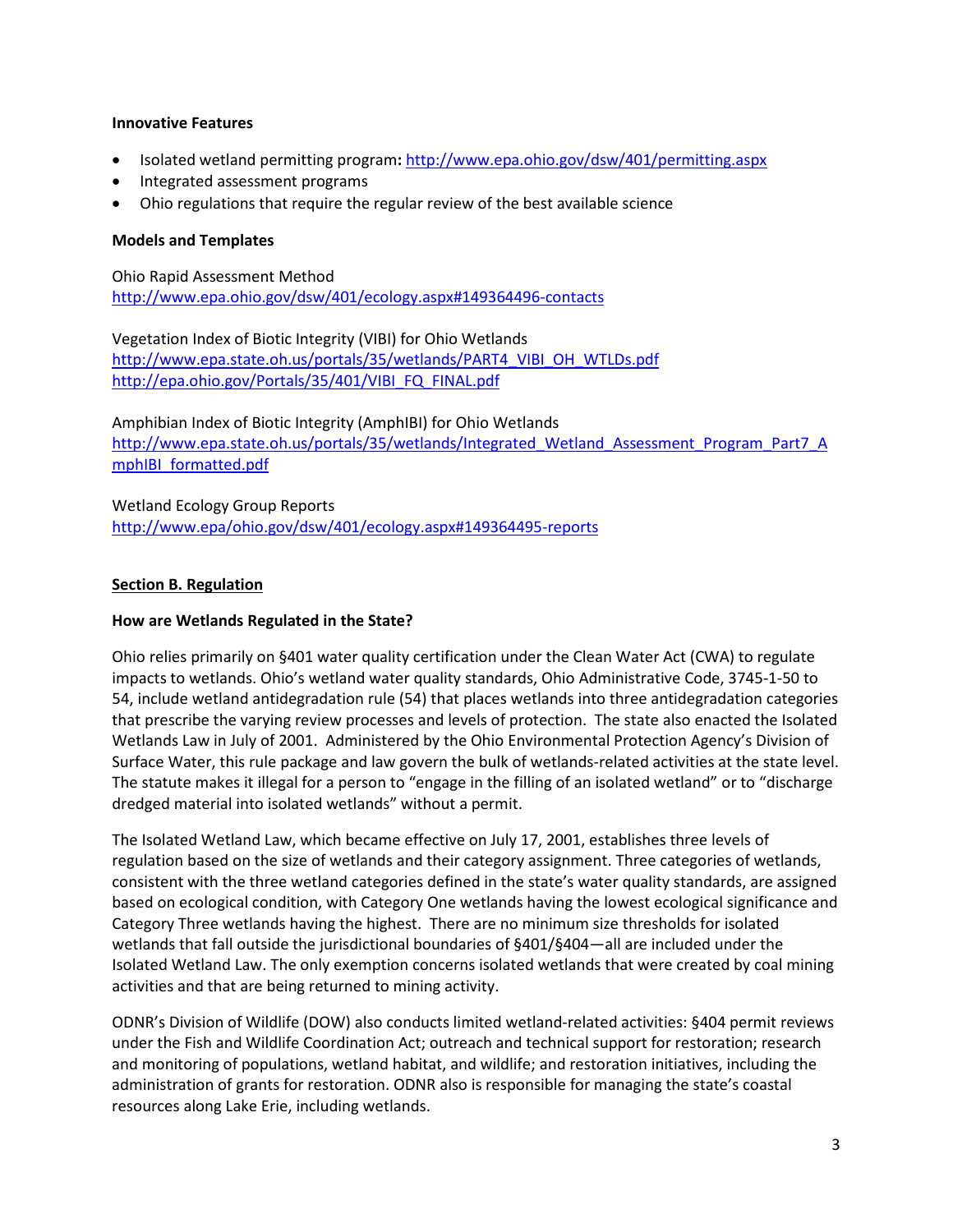### **Innovative Features**

- Isolated wetland permitting program**:** <http://www.epa.ohio.gov/dsw/401/permitting.aspx>
- Integrated assessment programs
- Ohio regulations that require the regular review of the best available science

### **Models and Templates**

Ohio Rapid Assessment Method <http://www.epa.ohio.gov/dsw/401/ecology.aspx#149364496-contacts>

Vegetation Index of Biotic Integrity (VIBI) for Ohio Wetlands [http://www.epa.state.oh.us/portals/35/wetlands/PART4\\_VIBI\\_OH\\_WTLDs.pdf](http://www.epa.state.oh.us/portals/35/wetlands/PART4_VIBI_OH_WTLDs.pdf) [http://epa.ohio.gov/Portals/35/401/VIBI\\_FQ\\_FINAL.pdf](http://epa.ohio.gov/Portals/35/401/VIBI_FQ_FINAL.pdf)

Amphibian Index of Biotic Integrity (AmphIBI) for Ohio Wetlands [http://www.epa.state.oh.us/portals/35/wetlands/Integrated\\_Wetland\\_Assessment\\_Program\\_Part7\\_A](http://www.epa.state.oh.us/portals/35/wetlands/Integrated_Wetland_Assessment_Program_Part7_AmphIBI_formatted.pdf) [mphIBI\\_formatted.pdf](http://www.epa.state.oh.us/portals/35/wetlands/Integrated_Wetland_Assessment_Program_Part7_AmphIBI_formatted.pdf)

Wetland Ecology Group Reports <http://www.epa/ohio.gov/dsw/401/ecology.aspx#149364495-reports>

#### <span id="page-2-0"></span>**Section B. Regulation**

#### **How are Wetlands Regulated in the State?**

Ohio relies primarily on §401 water quality certification under the Clean Water Act (CWA) to regulate impacts to wetlands. Ohio's wetland water quality standards, Ohio Administrative Code, 3745-1-50 to 54, include wetland antidegradation rule (54) that places wetlands into three antidegradation categories that prescribe the varying review processes and levels of protection. The state also enacted the Isolated Wetlands Law in July of 2001. Administered by the Ohio Environmental Protection Agency's Division of Surface Water, this rule package and law govern the bulk of wetlands-related activities at the state level. The statute makes it illegal for a person to "engage in the filling of an isolated wetland" or to "discharge dredged material into isolated wetlands" without a permit.

The Isolated Wetland Law, which became effective on July 17, 2001, establishes three levels of regulation based on the size of wetlands and their category assignment. Three categories of wetlands, consistent with the three wetland categories defined in the state's water quality standards, are assigned based on ecological condition, with Category One wetlands having the lowest ecological significance and Category Three wetlands having the highest. There are no minimum size thresholds for isolated wetlands that fall outside the jurisdictional boundaries of §401/§404—all are included under the Isolated Wetland Law. The only exemption concerns isolated wetlands that were created by coal mining activities and that are being returned to mining activity.

ODNR's Division of Wildlife (DOW) also conducts limited wetland-related activities: §404 permit reviews under the Fish and Wildlife Coordination Act; outreach and technical support for restoration; research and monitoring of populations, wetland habitat, and wildlife; and restoration initiatives, including the administration of grants for restoration. ODNR also is responsible for managing the state's coastal resources along Lake Erie, including wetlands.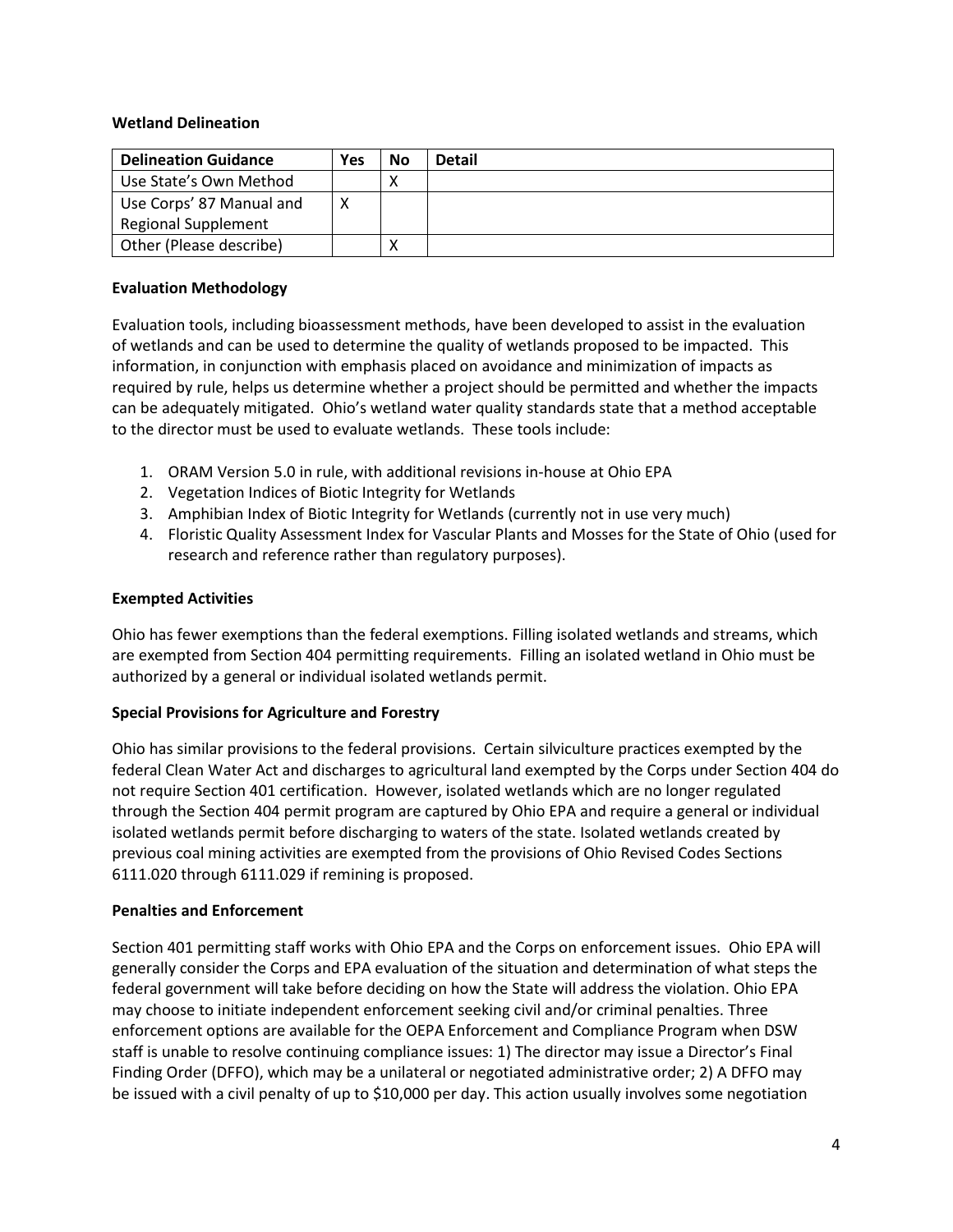### **Wetland Delineation**

| <b>Delineation Guidance</b> | Yes | No | <b>Detail</b> |
|-----------------------------|-----|----|---------------|
| Use State's Own Method      |     |    |               |
| Use Corps' 87 Manual and    | ∧   |    |               |
| <b>Regional Supplement</b>  |     |    |               |
| Other (Please describe)     |     |    |               |

### **Evaluation Methodology**

Evaluation tools, including bioassessment methods, have been developed to assist in the evaluation of wetlands and can be used to determine the quality of wetlands proposed to be impacted. This information, in conjunction with emphasis placed on avoidance and minimization of impacts as required by rule, helps us determine whether a project should be permitted and whether the impacts can be adequately mitigated. Ohio's wetland water quality standards state that a method acceptable to the director must be used to evaluate wetlands. These tools include:

- 1. ORAM Version 5.0 in rule, with additional revisions in-house at Ohio EPA
- 2. Vegetation Indices of Biotic Integrity for Wetlands
- 3. Amphibian Index of Biotic Integrity for Wetlands (currently not in use very much)
- 4. Floristic Quality Assessment Index for Vascular Plants and Mosses for the State of Ohio (used for research and reference rather than regulatory purposes).

#### **Exempted Activities**

Ohio has fewer exemptions than the federal exemptions. Filling isolated wetlands and streams, which are exempted from Section 404 permitting requirements. Filling an isolated wetland in Ohio must be authorized by a general or individual isolated wetlands permit.

### **Special Provisions for Agriculture and Forestry**

Ohio has similar provisions to the federal provisions. Certain silviculture practices exempted by the federal Clean Water Act and discharges to agricultural land exempted by the Corps under Section 404 do not require Section 401 certification. However, isolated wetlands which are no longer regulated through the Section 404 permit program are captured by Ohio EPA and require a general or individual isolated wetlands permit before discharging to waters of the state. Isolated wetlands created by previous coal mining activities are exempted from the provisions of Ohio Revised Codes Sections 6111.020 through 6111.029 if remining is proposed.

#### **Penalties and Enforcement**

Section 401 permitting staff works with Ohio EPA and the Corps on enforcement issues. Ohio EPA will generally consider the Corps and EPA evaluation of the situation and determination of what steps the federal government will take before deciding on how the State will address the violation. Ohio EPA may choose to initiate independent enforcement seeking civil and/or criminal penalties. Three enforcement options are available for the OEPA Enforcement and Compliance Program when DSW staff is unable to resolve continuing compliance issues: 1) The director may issue a Director's Final Finding Order (DFFO), which may be a unilateral or negotiated administrative order; 2) A DFFO may be issued with a civil penalty of up to \$10,000 per day. This action usually involves some negotiation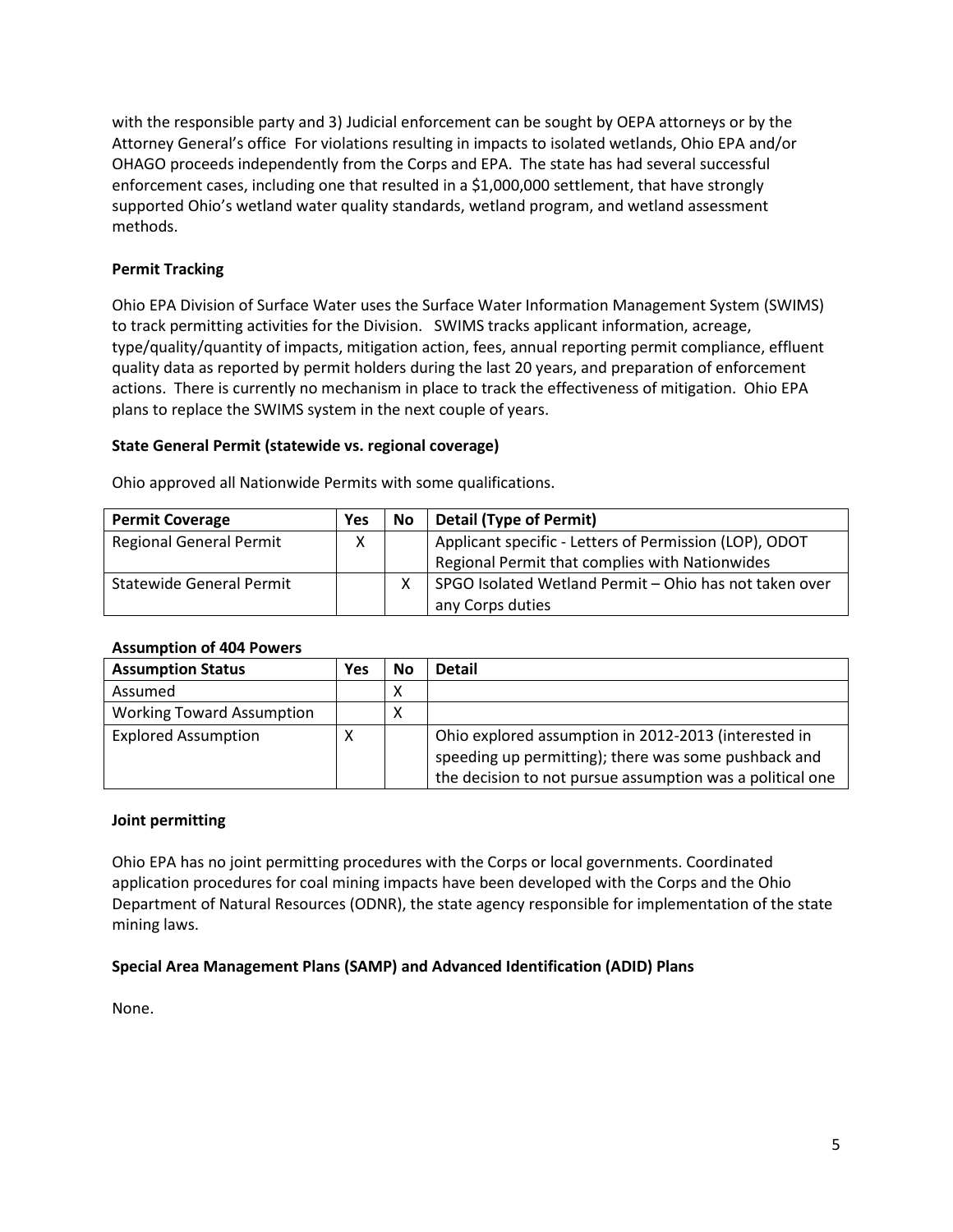with the responsible party and 3) Judicial enforcement can be sought by OEPA attorneys or by the Attorney General's office For violations resulting in impacts to isolated wetlands, Ohio EPA and/or OHAGO proceeds independently from the Corps and EPA. The state has had several successful enforcement cases, including one that resulted in a \$1,000,000 settlement, that have strongly supported Ohio's wetland water quality standards, wetland program, and wetland assessment methods.

## **Permit Tracking**

Ohio EPA Division of Surface Water uses the Surface Water Information Management System (SWIMS) to track permitting activities for the Division. SWIMS tracks applicant information, acreage, type/quality/quantity of impacts, mitigation action, fees, annual reporting permit compliance, effluent quality data as reported by permit holders during the last 20 years, and preparation of enforcement actions. There is currently no mechanism in place to track the effectiveness of mitigation. Ohio EPA plans to replace the SWIMS system in the next couple of years.

## **State General Permit (statewide vs. regional coverage)**

Ohio approved all Nationwide Permits with some qualifications.

| <b>Permit Coverage</b>          | Yes | No | <b>Detail (Type of Permit)</b>                         |
|---------------------------------|-----|----|--------------------------------------------------------|
| <b>Regional General Permit</b>  | χ   |    | Applicant specific - Letters of Permission (LOP), ODOT |
|                                 |     |    | Regional Permit that complies with Nationwides         |
| <b>Statewide General Permit</b> |     |    | SPGO Isolated Wetland Permit - Ohio has not taken over |
|                                 |     |    | any Corps duties                                       |

### **Assumption of 404 Powers**

| <b>Assumption Status</b>         | Yes | No | <b>Detail</b>                                                                                                                                                             |
|----------------------------------|-----|----|---------------------------------------------------------------------------------------------------------------------------------------------------------------------------|
| Assumed                          |     | Χ  |                                                                                                                                                                           |
| <b>Working Toward Assumption</b> |     | х  |                                                                                                                                                                           |
| <b>Explored Assumption</b>       |     |    | Ohio explored assumption in 2012-2013 (interested in<br>speeding up permitting); there was some pushback and<br>the decision to not pursue assumption was a political one |

### **Joint permitting**

Ohio EPA has no joint permitting procedures with the Corps or local governments. Coordinated application procedures for coal mining impacts have been developed with the Corps and the Ohio Department of Natural Resources (ODNR), the state agency responsible for implementation of the state mining laws.

### **Special Area Management Plans (SAMP) and Advanced Identification (ADID) Plans**

None.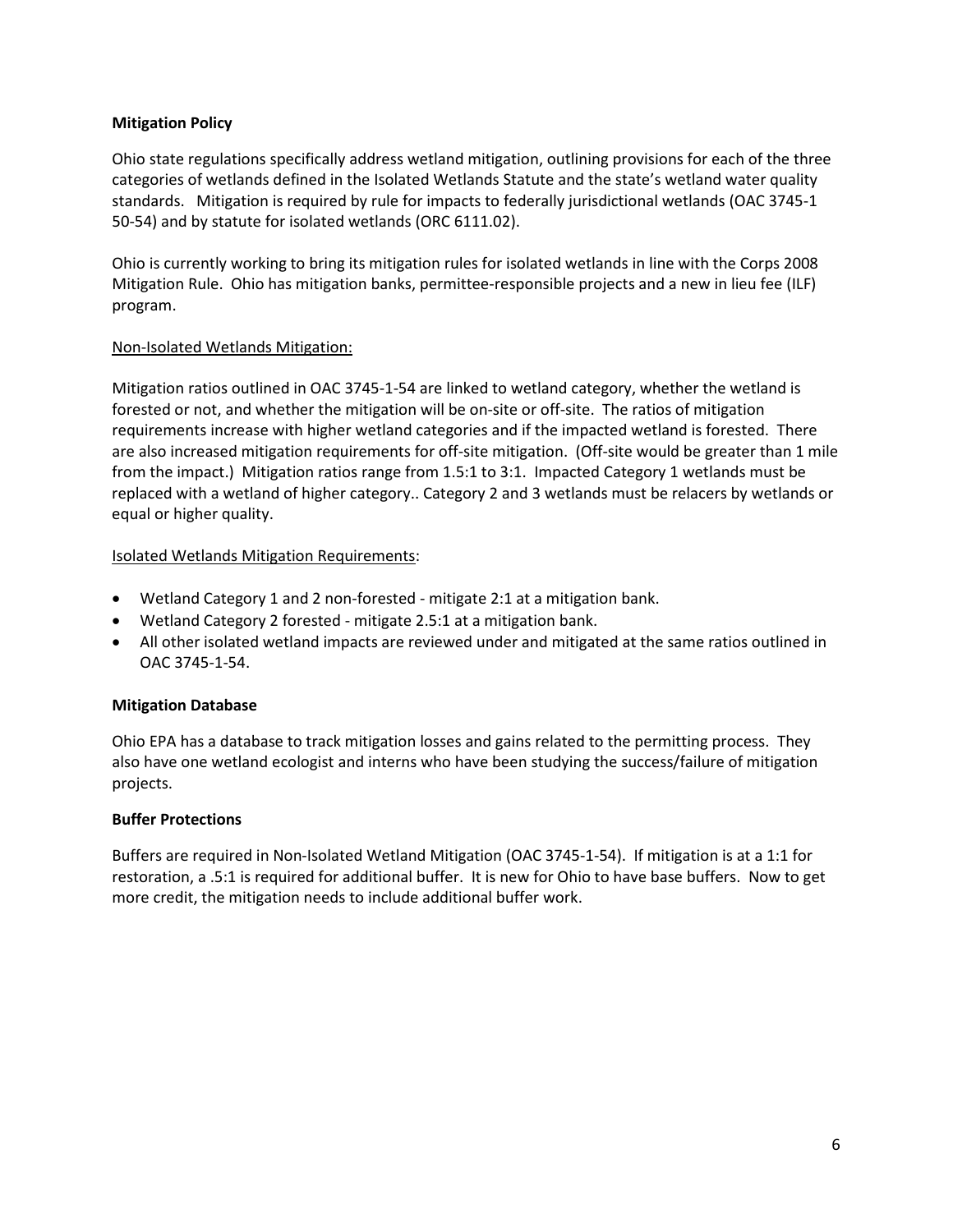## **Mitigation Policy**

Ohio state regulations specifically address wetland mitigation, outlining provisions for each of the three categories of wetlands defined in the Isolated Wetlands Statute and the state's wetland water quality standards. Mitigation is required by rule for impacts to federally jurisdictional wetlands (OAC 3745-1 50-54) and by statute for isolated wetlands (ORC 6111.02).

Ohio is currently working to bring its mitigation rules for isolated wetlands in line with the Corps 2008 Mitigation Rule. Ohio has mitigation banks, permittee-responsible projects and a new in lieu fee (ILF) program.

## Non-Isolated Wetlands Mitigation:

Mitigation ratios outlined in OAC 3745-1-54 are linked to wetland category, whether the wetland is forested or not, and whether the mitigation will be on-site or off-site. The ratios of mitigation requirements increase with higher wetland categories and if the impacted wetland is forested. There are also increased mitigation requirements for off-site mitigation. (Off-site would be greater than 1 mile from the impact.) Mitigation ratios range from 1.5:1 to 3:1. Impacted Category 1 wetlands must be replaced with a wetland of higher category.. Category 2 and 3 wetlands must be relacers by wetlands or equal or higher quality.

## Isolated Wetlands Mitigation Requirements:

- Wetland Category 1 and 2 non-forested mitigate 2:1 at a mitigation bank.
- Wetland Category 2 forested mitigate 2.5:1 at a mitigation bank.
- All other isolated wetland impacts are reviewed under and mitigated at the same ratios outlined in OAC 3745-1-54.

### **Mitigation Database**

Ohio EPA has a database to track mitigation losses and gains related to the permitting process. They also have one wetland ecologist and interns who have been studying the success/failure of mitigation projects.

### **Buffer Protections**

Buffers are required in Non-Isolated Wetland Mitigation (OAC 3745-1-54). If mitigation is at a 1:1 for restoration, a .5:1 is required for additional buffer. It is new for Ohio to have base buffers. Now to get more credit, the mitigation needs to include additional buffer work.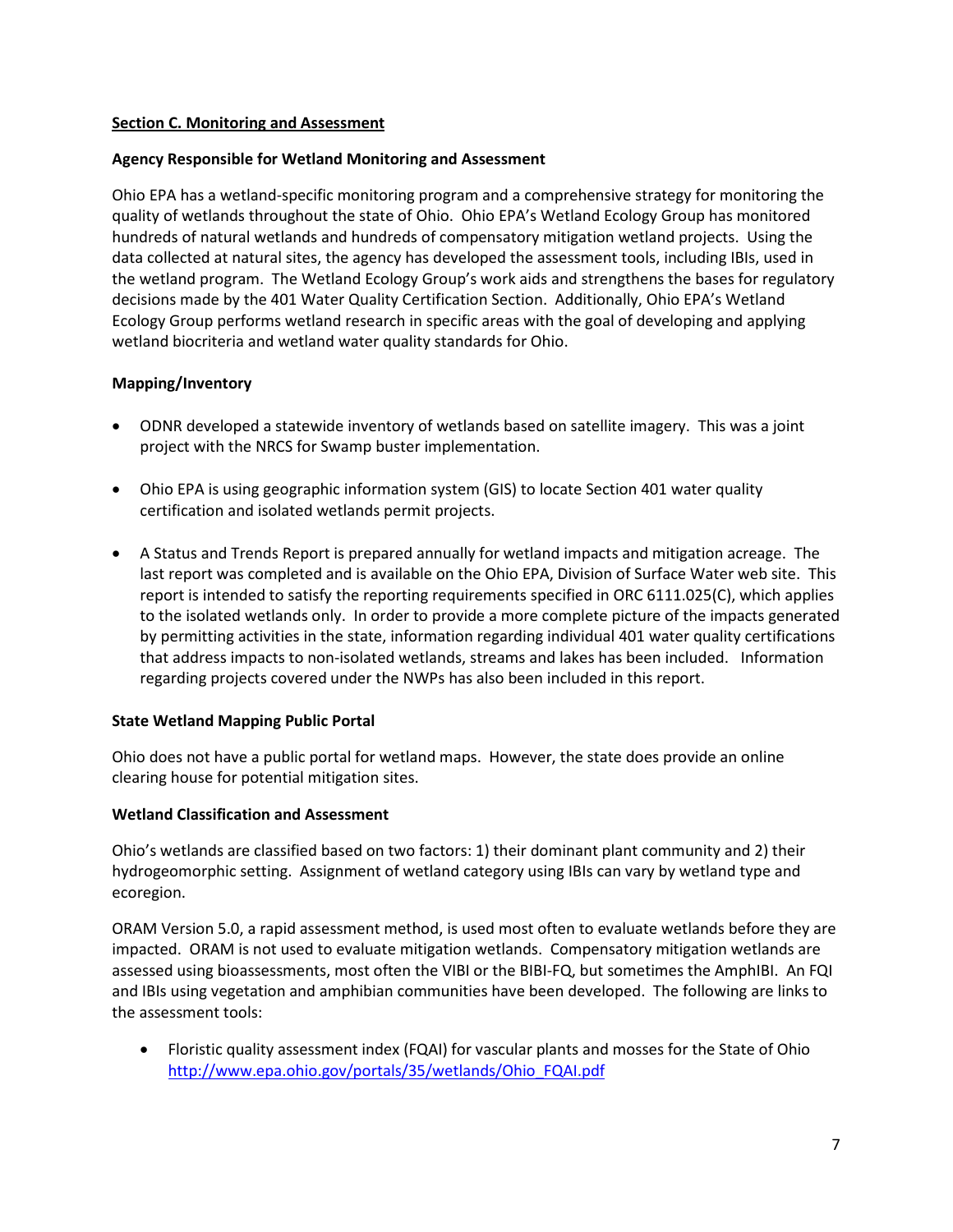### <span id="page-6-0"></span>**Section C. Monitoring and Assessment**

## **Agency Responsible for Wetland Monitoring and Assessment**

Ohio EPA has a wetland-specific monitoring program and a comprehensive strategy for monitoring the quality of wetlands throughout the state of Ohio. Ohio EPA's Wetland Ecology Group has monitored hundreds of natural wetlands and hundreds of compensatory mitigation wetland projects. Using the data collected at natural sites, the agency has developed the assessment tools, including IBIs, used in the wetland program. The Wetland Ecology Group's work aids and strengthens the bases for regulatory decisions made by the 401 Water Quality Certification Section. Additionally, Ohio EPA's Wetland Ecology Group performs wetland research in specific areas with the goal of developing and applying wetland biocriteria and wetland water quality standards for Ohio.

## **Mapping/Inventory**

- ODNR developed a statewide inventory of wetlands based on satellite imagery. This was a joint project with the NRCS for Swamp buster implementation.
- Ohio EPA is using geographic information system (GIS) to locate Section 401 water quality certification and isolated wetlands permit projects.
- A Status and Trends Report is prepared annually for wetland impacts and mitigation acreage. The last report was completed and is available on the Ohio EPA, Division of Surface Water web site. This report is intended to satisfy the reporting requirements specified in ORC 6111.025(C), which applies to the isolated wetlands only. In order to provide a more complete picture of the impacts generated by permitting activities in the state, information regarding individual 401 water quality certifications that address impacts to non-isolated wetlands, streams and lakes has been included. Information regarding projects covered under the NWPs has also been included in this report.

### **State Wetland Mapping Public Portal**

Ohio does not have a public portal for wetland maps. However, the state does provide an online clearing house for potential mitigation sites.

### **Wetland Classification and Assessment**

Ohio's wetlands are classified based on two factors: 1) their dominant plant community and 2) their hydrogeomorphic setting. Assignment of wetland category using IBIs can vary by wetland type and ecoregion.

ORAM Version 5.0, a rapid assessment method, is used most often to evaluate wetlands before they are impacted. ORAM is not used to evaluate mitigation wetlands. Compensatory mitigation wetlands are assessed using bioassessments, most often the VIBI or the BIBI-FQ, but sometimes the AmphIBI. An FQI and IBIs using vegetation and amphibian communities have been developed.The following are links to the assessment tools:

• Floristic quality assessment index (FQAI) for vascular plants and mosses for the State of Ohio [http://www.epa.ohio.gov/portals/35/wetlands/Ohio\\_FQAI.pdf](http://www.epa.ohio.gov/portals/35/wetlands/Ohio_FQAI.pdf)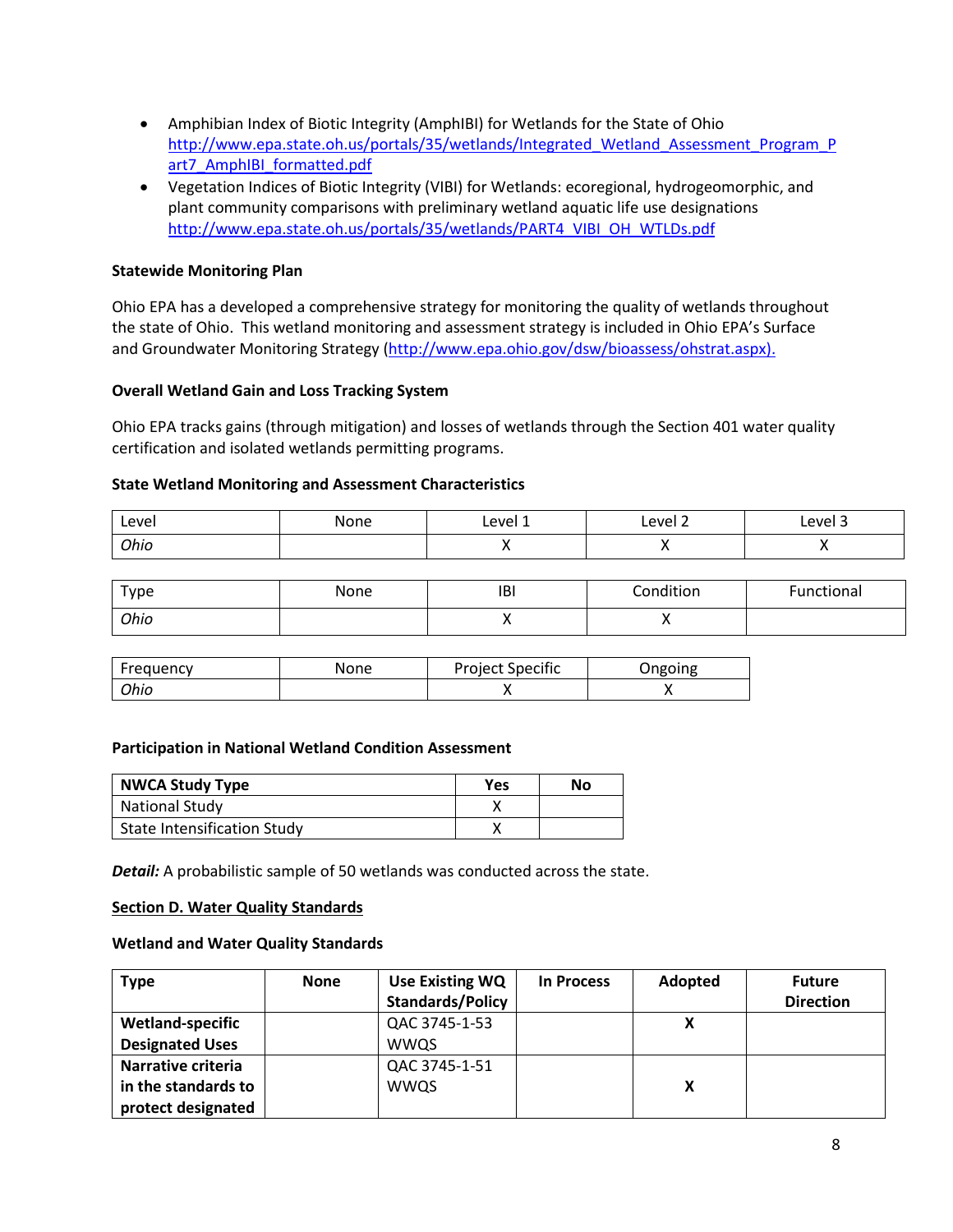- Amphibian Index of Biotic Integrity (AmphIBI) for Wetlands for the State of Ohio [http://www.epa.state.oh.us/portals/35/wetlands/Integrated\\_Wetland\\_Assessment\\_Program\\_P](http://www.epa.state.oh.us/portals/35/wetlands/Integrated_Wetland_Assessment_Program_Part7_AmphIBI_formatted.pdf) art7 AmphIBI formatted.pdf
- Vegetation Indices of Biotic Integrity (VIBI) for Wetlands: ecoregional, hydrogeomorphic, and plant community comparisons with preliminary wetland aquatic life use designations [http://www.epa.state.oh.us/portals/35/wetlands/PART4\\_VIBI\\_OH\\_WTLDs.pdf](http://www.epa.state.oh.us/portals/35/wetlands/PART4_VIBI_OH_WTLDs.pdf)

### **Statewide Monitoring Plan**

Ohio EPA has a developed a comprehensive strategy for monitoring the quality of wetlands throughout the state of Ohio. This wetland monitoring and assessment strategy is included in Ohio EPA's Surface and Groundwater Monitoring Strategy [\(http://www.epa.ohio.gov/dsw/bioassess/ohstrat.aspx\)](http://www.epa.ohio.gov/dsw/bioassess/ohstrat.aspx).

### **Overall Wetland Gain and Loss Tracking System**

Ohio EPA tracks gains (through mitigation) and losses of wetlands through the Section 401 water quality certification and isolated wetlands permitting programs.

### **State Wetland Monitoring and Assessment Characteristics**

| Level | None | Level 1 | Level 2 | Level 3 |
|-------|------|---------|---------|---------|
| Ohio  |      |         | . .     |         |

| Type | None | IBI | Condition | Functional |
|------|------|-----|-----------|------------|
| Ohio |      |     | . .       |            |

| Frequency | None | <b>Project Specific</b> | )ngoing |
|-----------|------|-------------------------|---------|
| Ohio      |      |                         |         |

### **Participation in National Wetland Condition Assessment**

| <b>NWCA Study Type</b>      | Yes | No |
|-----------------------------|-----|----|
| National Study              |     |    |
| State Intensification Study |     |    |

**Detail:** A probabilistic sample of 50 wetlands was conducted across the state.

### <span id="page-7-0"></span>**Section D. Water Quality Standards**

#### **Wetland and Water Quality Standards**

| <b>Type</b>             | <b>None</b> | <b>Use Existing WQ</b>  | <b>In Process</b> | Adopted | <b>Future</b>    |
|-------------------------|-------------|-------------------------|-------------------|---------|------------------|
|                         |             | <b>Standards/Policy</b> |                   |         | <b>Direction</b> |
| <b>Wetland-specific</b> |             | QAC 3745-1-53           |                   | X       |                  |
| <b>Designated Uses</b>  |             | <b>WWQS</b>             |                   |         |                  |
| Narrative criteria      |             | QAC 3745-1-51           |                   |         |                  |
| in the standards to     |             | <b>WWQS</b>             |                   | X       |                  |
| protect designated      |             |                         |                   |         |                  |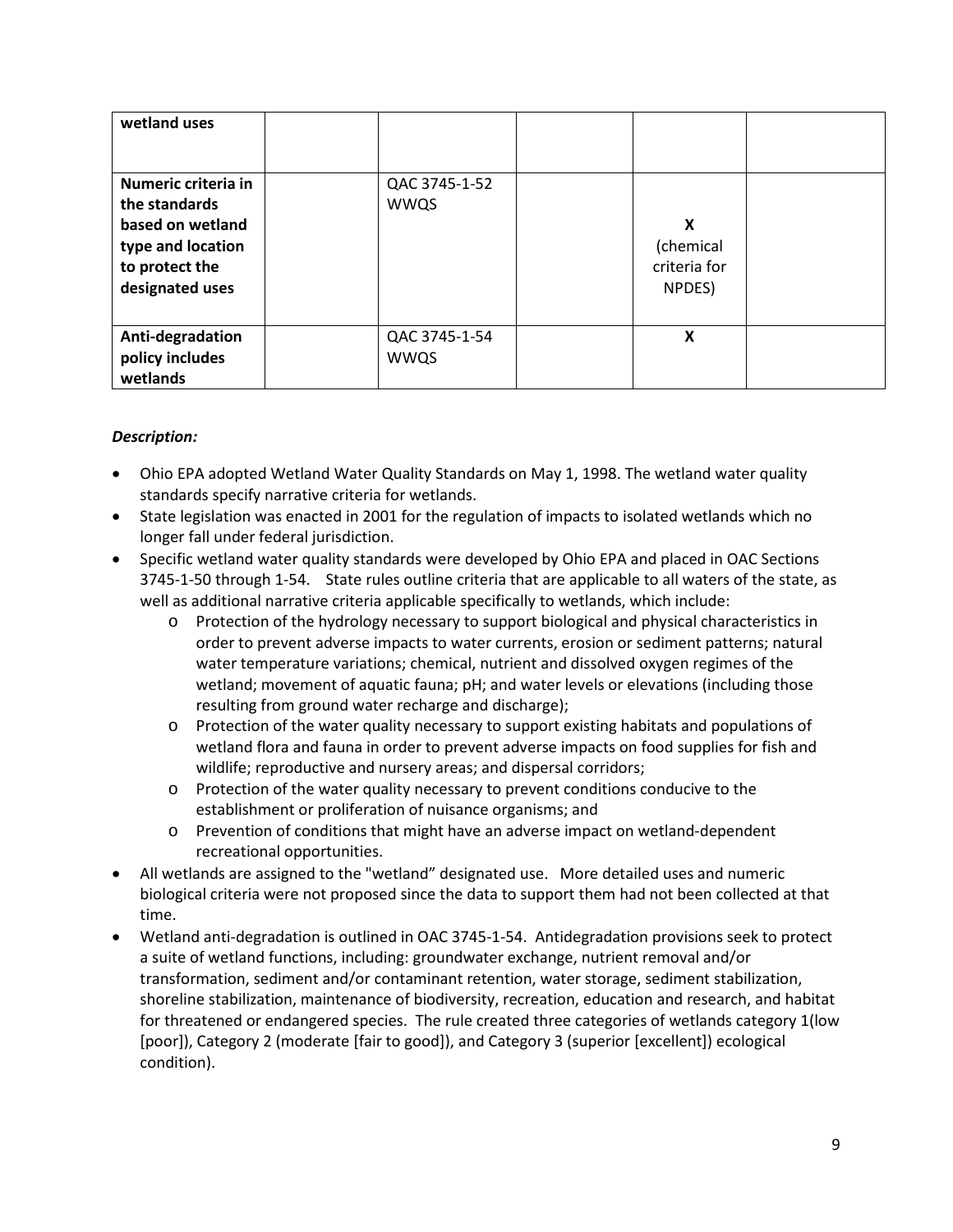| wetland uses                                                                                                       |                              |                                          |  |
|--------------------------------------------------------------------------------------------------------------------|------------------------------|------------------------------------------|--|
| Numeric criteria in<br>the standards<br>based on wetland<br>type and location<br>to protect the<br>designated uses | QAC 3745-1-52<br><b>WWQS</b> | X<br>(chemical<br>criteria for<br>NPDES) |  |
| Anti-degradation<br>policy includes<br>wetlands                                                                    | QAC 3745-1-54<br><b>WWQS</b> | X                                        |  |

## *Description:*

- Ohio EPA adopted Wetland Water Quality Standards on May 1, 1998. The wetland water quality standards specify narrative criteria for wetlands.
- State legislation was enacted in 2001 for the regulation of impacts to isolated wetlands which no longer fall under federal jurisdiction.
- Specific wetland water quality standards were developed by Ohio EPA and placed in OAC Sections 3745-1-50 through 1-54. State rules outline criteria that are applicable to all waters of the state, as well as additional narrative criteria applicable specifically to wetlands, which include:
	- o Protection of the hydrology necessary to support biological and physical characteristics in order to prevent adverse impacts to water currents, erosion or sediment patterns; natural water temperature variations; chemical, nutrient and dissolved oxygen regimes of the wetland; movement of aquatic fauna; pH; and water levels or elevations (including those resulting from ground water recharge and discharge);
	- o Protection of the water quality necessary to support existing habitats and populations of wetland flora and fauna in order to prevent adverse impacts on food supplies for fish and wildlife; reproductive and nursery areas; and dispersal corridors;
	- o Protection of the water quality necessary to prevent conditions conducive to the establishment or proliferation of nuisance organisms; and
	- o Prevention of conditions that might have an adverse impact on wetland-dependent recreational opportunities.
- All wetlands are assigned to the "wetland" designated use. More detailed uses and numeric biological criteria were not proposed since the data to support them had not been collected at that time.
- Wetland anti-degradation is outlined in OAC 3745-1-54. Antidegradation provisions seek to protect a suite of wetland functions, including: groundwater exchange, nutrient removal and/or transformation, sediment and/or contaminant retention, water storage, sediment stabilization, shoreline stabilization, maintenance of biodiversity, recreation, education and research, and habitat for threatened or endangered species. The rule created three categories of wetlands category 1(low [poor]), Category 2 (moderate [fair to good]), and Category 3 (superior [excellent]) ecological condition).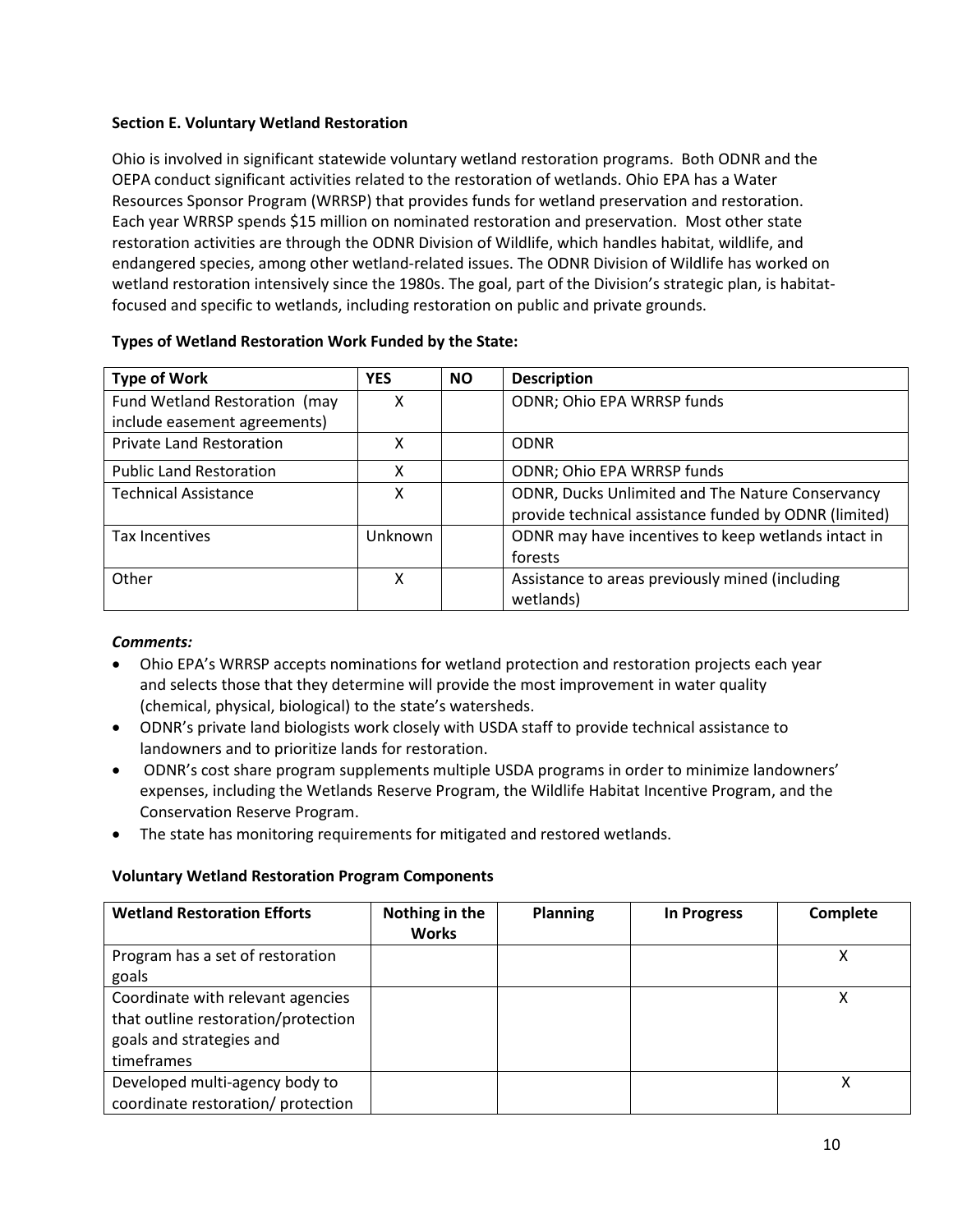## <span id="page-9-0"></span>**Section E. Voluntary Wetland Restoration**

Ohio is involved in significant statewide voluntary wetland restoration programs. Both ODNR and the OEPA conduct significant activities related to the restoration of wetlands. Ohio EPA has a Water Resources Sponsor Program (WRRSP) that provides funds for wetland preservation and restoration. Each year WRRSP spends \$15 million on nominated restoration and preservation. Most other state restoration activities are through the ODNR Division of Wildlife, which handles habitat, wildlife, and endangered species, among other wetland-related issues. The ODNR Division of Wildlife has worked on wetland restoration intensively since the 1980s. The goal, part of the Division's strategic plan, is habitatfocused and specific to wetlands, including restoration on public and private grounds.

| <b>Type of Work</b>             | <b>YES</b>     | <b>NO</b> | <b>Description</b>                                    |
|---------------------------------|----------------|-----------|-------------------------------------------------------|
| Fund Wetland Restoration (may   | х              |           | ODNR; Ohio EPA WRRSP funds                            |
| include easement agreements)    |                |           |                                                       |
| <b>Private Land Restoration</b> | χ              |           | <b>ODNR</b>                                           |
| <b>Public Land Restoration</b>  | χ              |           | ODNR; Ohio EPA WRRSP funds                            |
| <b>Technical Assistance</b>     | χ              |           | ODNR, Ducks Unlimited and The Nature Conservancy      |
|                                 |                |           | provide technical assistance funded by ODNR (limited) |
| Tax Incentives                  | <b>Unknown</b> |           | ODNR may have incentives to keep wetlands intact in   |
|                                 |                |           | forests                                               |
| Other                           | x              |           | Assistance to areas previously mined (including       |
|                                 |                |           | wetlands)                                             |

#### **Types of Wetland Restoration Work Funded by the State:**

### *Comments:*

- Ohio EPA's WRRSP accepts nominations for wetland protection and restoration projects each year and selects those that they determine will provide the most improvement in water quality (chemical, physical, biological) to the state's watersheds.
- ODNR's private land biologists work closely with USDA staff to provide technical assistance to landowners and to prioritize lands for restoration.
- ODNR's cost share program supplements multiple USDA programs in order to minimize landowners' expenses, including the Wetlands Reserve Program, the Wildlife Habitat Incentive Program, and the Conservation Reserve Program.
- The state has monitoring requirements for mitigated and restored wetlands.

### **Voluntary Wetland Restoration Program Components**

| <b>Wetland Restoration Efforts</b>  | Nothing in the<br><b>Works</b> | <b>Planning</b> | <b>In Progress</b> | Complete |
|-------------------------------------|--------------------------------|-----------------|--------------------|----------|
| Program has a set of restoration    |                                |                 |                    | Χ        |
| goals                               |                                |                 |                    |          |
| Coordinate with relevant agencies   |                                |                 |                    | х        |
| that outline restoration/protection |                                |                 |                    |          |
| goals and strategies and            |                                |                 |                    |          |
| timeframes                          |                                |                 |                    |          |
| Developed multi-agency body to      |                                |                 |                    |          |
| coordinate restoration/ protection  |                                |                 |                    |          |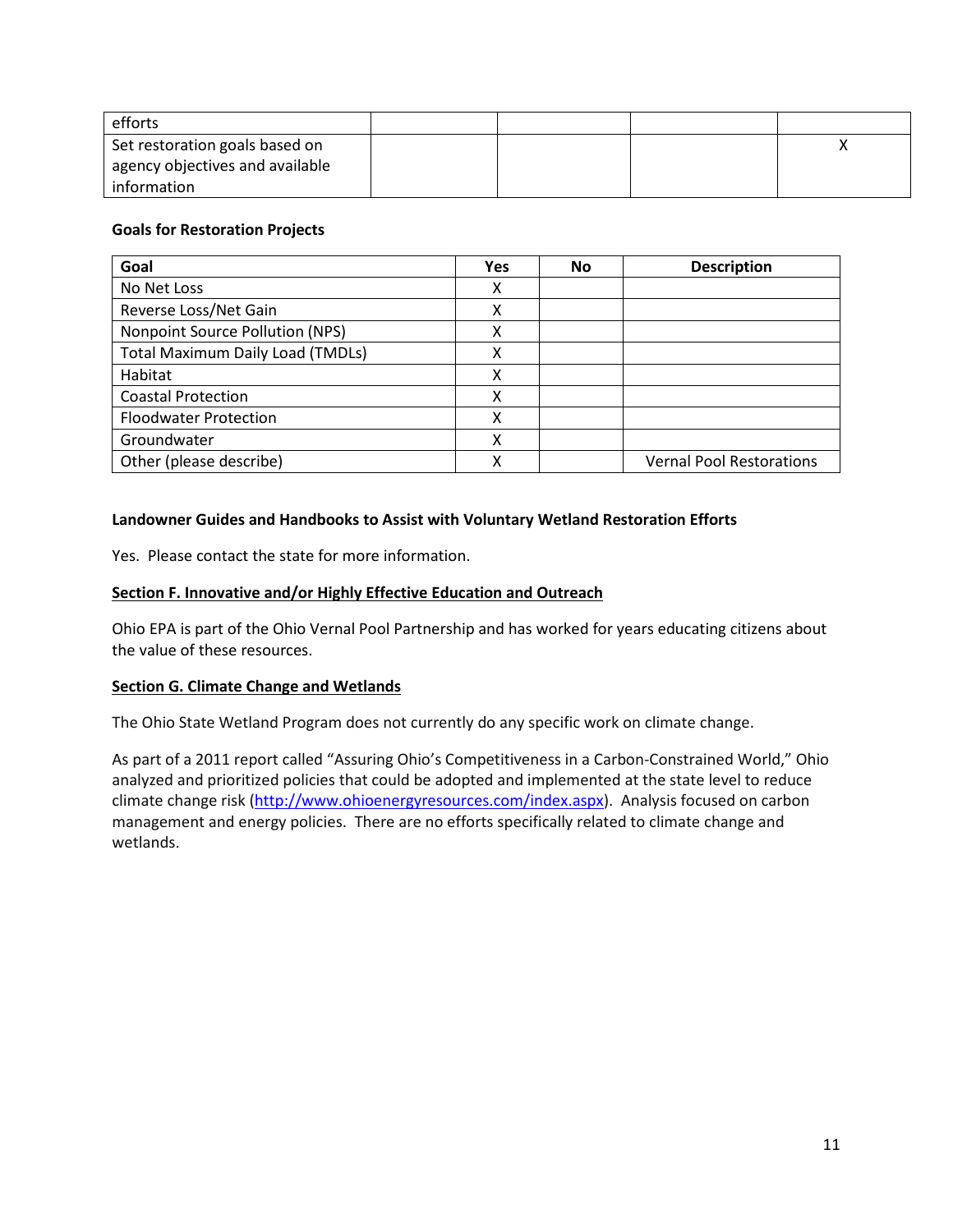| efforts                         |  |  |
|---------------------------------|--|--|
| Set restoration goals based on  |  |  |
| agency objectives and available |  |  |
| information                     |  |  |

### **Goals for Restoration Projects**

| Goal                                    | <b>Yes</b> | No | <b>Description</b>              |
|-----------------------------------------|------------|----|---------------------------------|
| No Net Loss                             | χ          |    |                                 |
| Reverse Loss/Net Gain                   | x          |    |                                 |
| Nonpoint Source Pollution (NPS)         | x          |    |                                 |
| <b>Total Maximum Daily Load (TMDLs)</b> | x          |    |                                 |
| Habitat                                 | x          |    |                                 |
| <b>Coastal Protection</b>               | x          |    |                                 |
| <b>Floodwater Protection</b>            | x          |    |                                 |
| Groundwater                             | x          |    |                                 |
| Other (please describe)                 | ν          |    | <b>Vernal Pool Restorations</b> |

#### **Landowner Guides and Handbooks to Assist with Voluntary Wetland Restoration Efforts**

Yes. Please contact the state for more information.

### <span id="page-10-0"></span>**Section F. Innovative and/or Highly Effective Education and Outreach**

Ohio EPA is part of the Ohio Vernal Pool Partnership and has worked for years educating citizens about the value of these resources.

#### **Section G. Climate Change and Wetlands**

The Ohio State Wetland Program does not currently do any specific work on climate change.

<span id="page-10-1"></span>As part of a 2011 report called "Assuring Ohio's Competitiveness in a Carbon-Constrained World," Ohio analyzed and prioritized policies that could be adopted and implemented at the state level to reduce climate change risk [\(http://www.ohioenergyresources.com/index.aspx\)](http://www.ohioenergyresources.com/index.aspx). Analysis focused on carbon management and energy policies. There are no efforts specifically related to climate change and wetlands.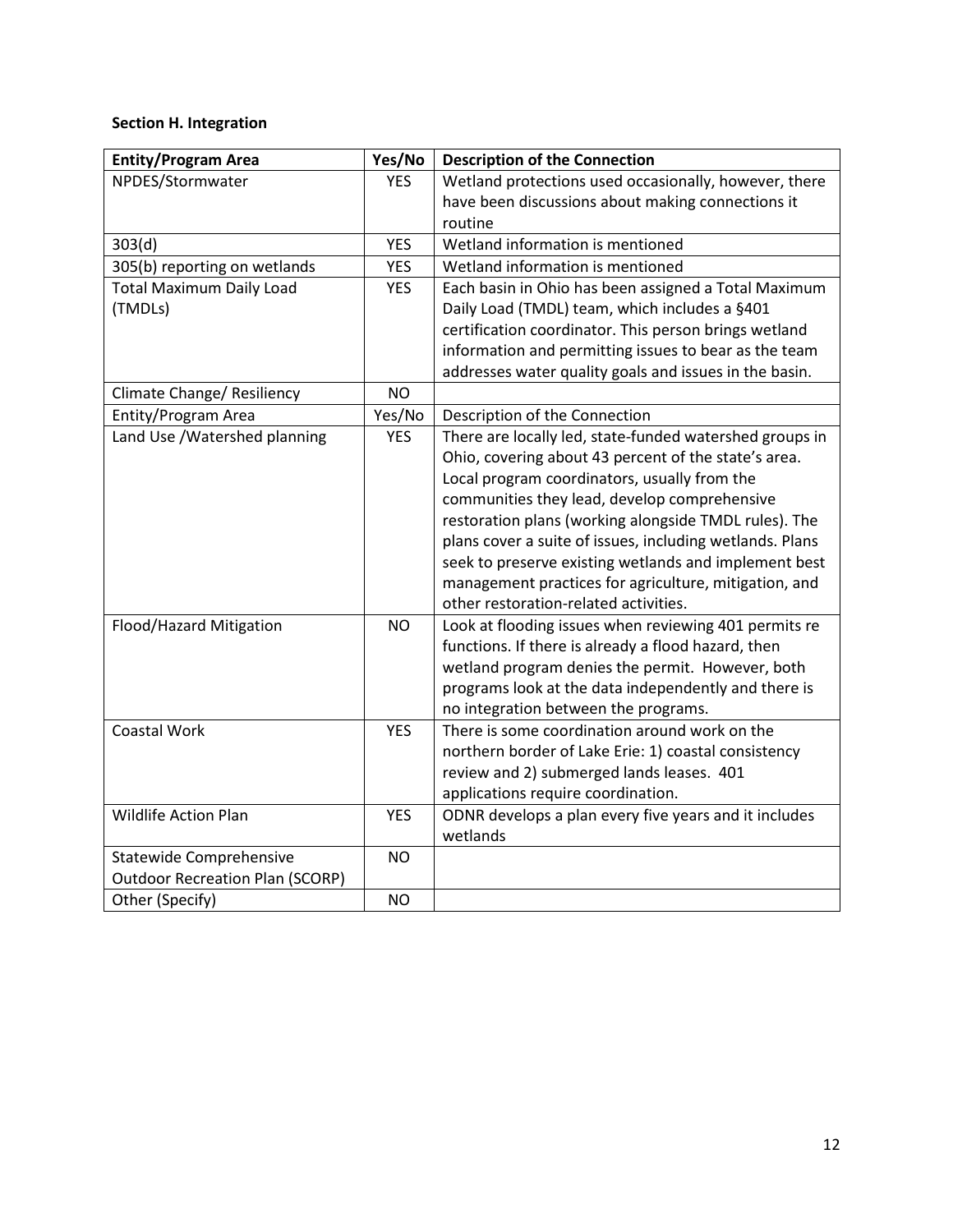# **Section H. Integration**

| <b>Entity/Program Area</b>             | Yes/No     | <b>Description of the Connection</b>                     |
|----------------------------------------|------------|----------------------------------------------------------|
| NPDES/Stormwater                       | <b>YES</b> | Wetland protections used occasionally, however, there    |
|                                        |            | have been discussions about making connections it        |
|                                        |            | routine                                                  |
| 303(d)                                 | <b>YES</b> | Wetland information is mentioned                         |
| 305(b) reporting on wetlands           | <b>YES</b> | Wetland information is mentioned                         |
| <b>Total Maximum Daily Load</b>        | <b>YES</b> | Each basin in Ohio has been assigned a Total Maximum     |
| (TMDLs)                                |            | Daily Load (TMDL) team, which includes a §401            |
|                                        |            | certification coordinator. This person brings wetland    |
|                                        |            | information and permitting issues to bear as the team    |
|                                        |            | addresses water quality goals and issues in the basin.   |
| Climate Change/ Resiliency             | NO         |                                                          |
| Entity/Program Area                    | Yes/No     | Description of the Connection                            |
| Land Use / Watershed planning          | <b>YES</b> | There are locally led, state-funded watershed groups in  |
|                                        |            | Ohio, covering about 43 percent of the state's area.     |
|                                        |            | Local program coordinators, usually from the             |
|                                        |            | communities they lead, develop comprehensive             |
|                                        |            | restoration plans (working alongside TMDL rules). The    |
|                                        |            | plans cover a suite of issues, including wetlands. Plans |
|                                        |            | seek to preserve existing wetlands and implement best    |
|                                        |            | management practices for agriculture, mitigation, and    |
|                                        |            | other restoration-related activities.                    |
| Flood/Hazard Mitigation                | NO         | Look at flooding issues when reviewing 401 permits re    |
|                                        |            | functions. If there is already a flood hazard, then      |
|                                        |            | wetland program denies the permit. However, both         |
|                                        |            | programs look at the data independently and there is     |
|                                        |            | no integration between the programs.                     |
| <b>Coastal Work</b>                    | <b>YES</b> | There is some coordination around work on the            |
|                                        |            | northern border of Lake Erie: 1) coastal consistency     |
|                                        |            | review and 2) submerged lands leases. 401                |
|                                        |            | applications require coordination.                       |
| <b>Wildlife Action Plan</b>            | <b>YES</b> | ODNR develops a plan every five years and it includes    |
|                                        |            | wetlands                                                 |
| <b>Statewide Comprehensive</b>         | <b>NO</b>  |                                                          |
| <b>Outdoor Recreation Plan (SCORP)</b> |            |                                                          |
| Other (Specify)                        | <b>NO</b>  |                                                          |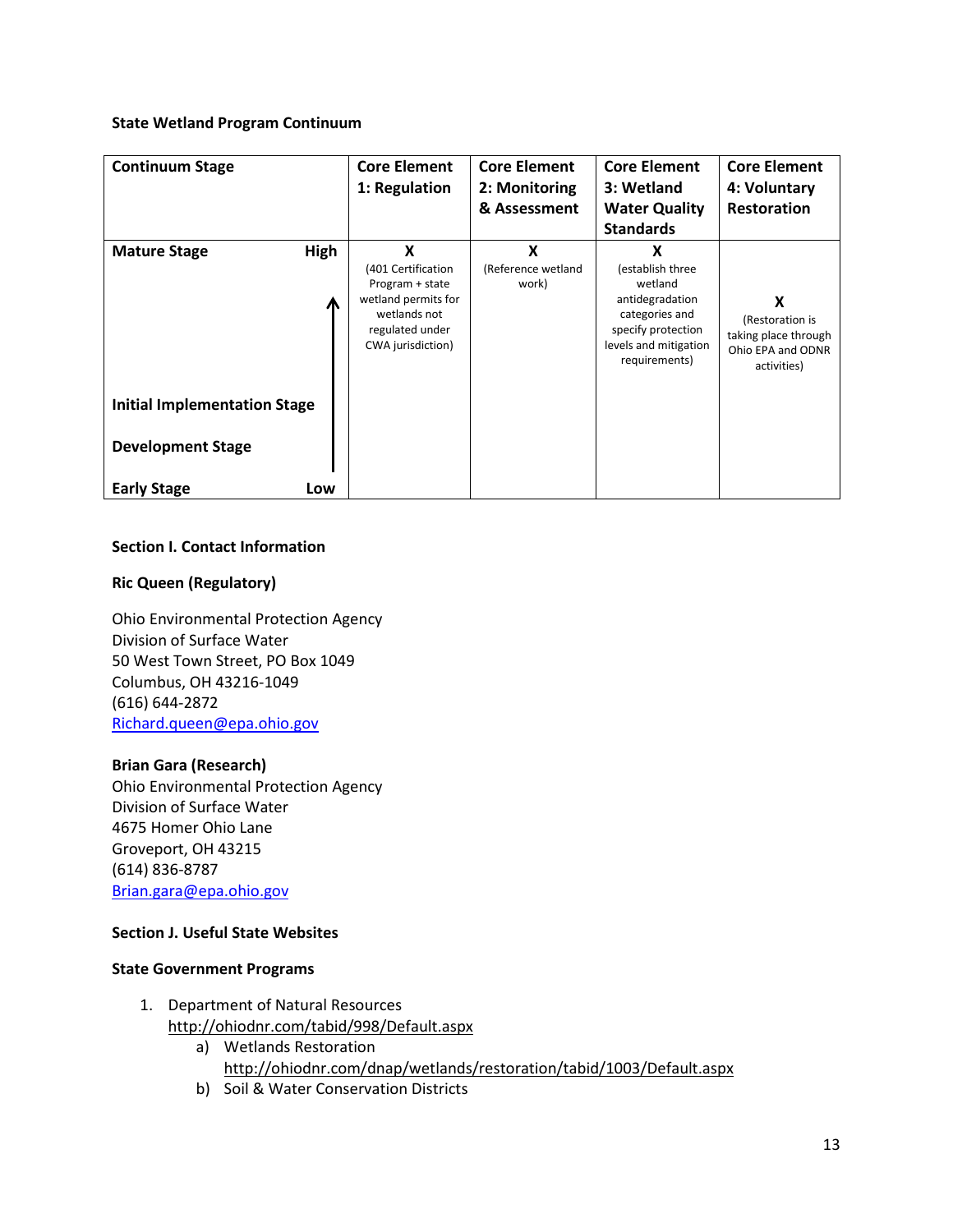### **State Wetland Program Continuum**

| 1: Regulation                                                                                                                                                 | 2: Monitoring                    | 3: Wetland                                                                                                                            |                                                                                  |
|---------------------------------------------------------------------------------------------------------------------------------------------------------------|----------------------------------|---------------------------------------------------------------------------------------------------------------------------------------|----------------------------------------------------------------------------------|
|                                                                                                                                                               |                                  |                                                                                                                                       | 4: Voluntary                                                                     |
|                                                                                                                                                               | & Assessment                     | <b>Water Quality</b>                                                                                                                  | <b>Restoration</b>                                                               |
|                                                                                                                                                               |                                  | <b>Standards</b>                                                                                                                      |                                                                                  |
| High<br>X<br><b>Mature Stage</b><br>(401 Certification<br>Program + state<br>wetland permits for<br>Л<br>wetlands not<br>regulated under<br>CWA jurisdiction) | X<br>(Reference wetland<br>work) | X<br>(establish three<br>wetland<br>antidegradation<br>categories and<br>specify protection<br>levels and mitigation<br>requirements) | X<br>(Restoration is<br>taking place through<br>Ohio EPA and ODNR<br>activities) |
| <b>Initial Implementation Stage</b><br><b>Development Stage</b><br><b>Early Stage</b><br>Low                                                                  |                                  |                                                                                                                                       |                                                                                  |

### **Section I. Contact Information**

### **Ric Queen (Regulatory)**

Ohio Environmental Protection Agency Division of Surface Water 50 West Town Street, PO Box 1049 Columbus, OH 43216-1049 (616) 644-2872 [Richard.queen@epa.ohio.gov](mailto:Richard.queen@epa.ohio.gov)

### **Brian Gara (Research)**

Ohio Environmental Protection Agency Division of Surface Water 4675 Homer Ohio Lane Groveport, OH 43215 (614) 836-8787 [Brian.gara@epa.ohio.gov](mailto:Brian.gara@epa.ohio.gov)

## **Section J. Useful State Websites**

#### **State Government Programs**

- 1. Department of Natural Resources <http://ohiodnr.com/tabid/998/Default.aspx>
	- a) Wetlands Restoration <http://ohiodnr.com/dnap/wetlands/restoration/tabid/1003/Default.aspx>
	- b) Soil & Water Conservation Districts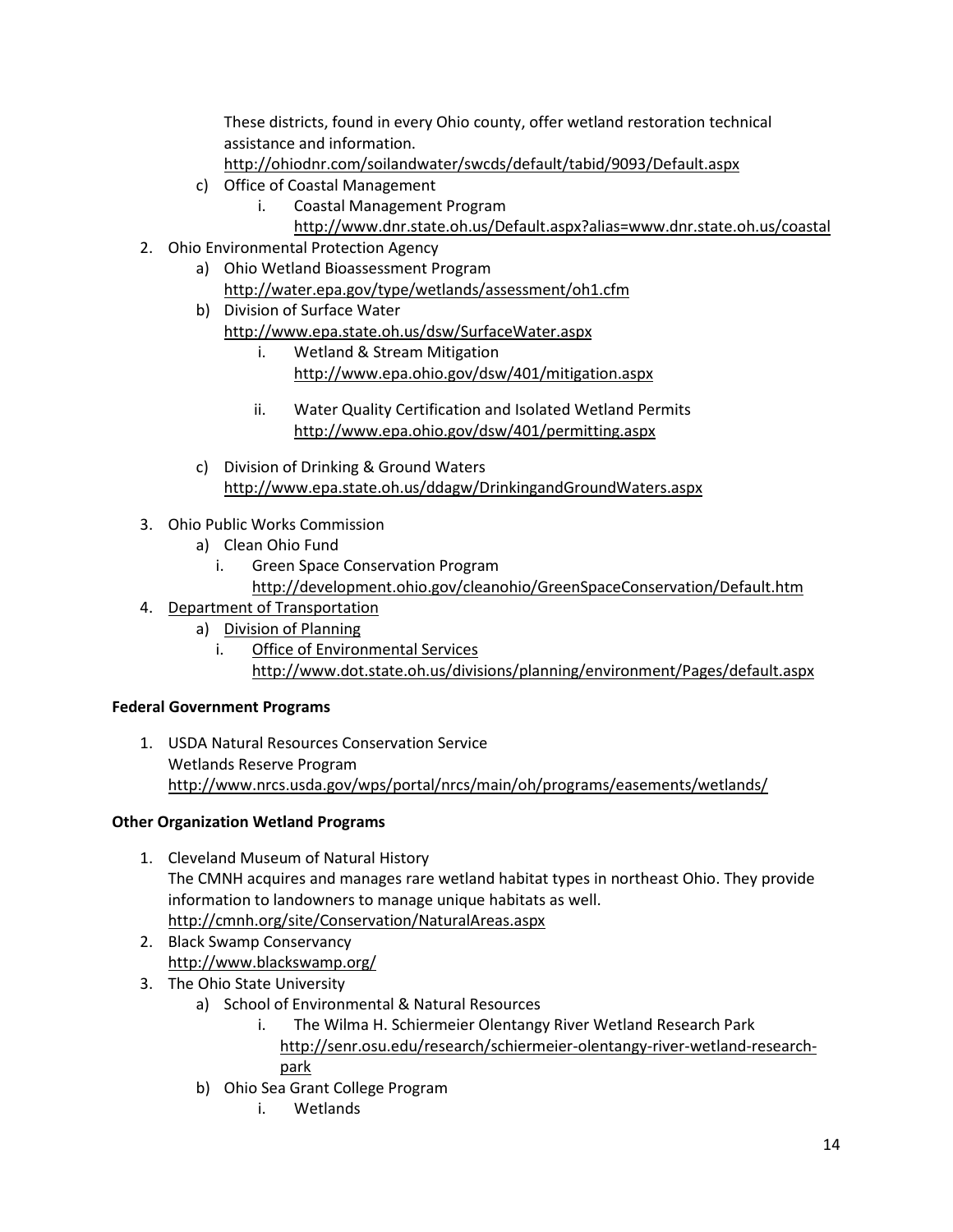These districts, found in every Ohio county, offer wetland restoration technical assistance and information.

<http://ohiodnr.com/soilandwater/swcds/default/tabid/9093/Default.aspx>

- c) Office of Coastal Management
	- i. Coastal Management Program
		- <http://www.dnr.state.oh.us/Default.aspx?alias=www.dnr.state.oh.us/coastal>
- 2. Ohio Environmental Protection Agency
	- a) Ohio Wetland Bioassessment Program <http://water.epa.gov/type/wetlands/assessment/oh1.cfm>
	- b) Division of Surface Water
		- <http://www.epa.state.oh.us/dsw/SurfaceWater.aspx>
			- i. Wetland & Stream Mitigation <http://www.epa.ohio.gov/dsw/401/mitigation.aspx>
			- ii. Water Quality Certification and Isolated Wetland Permits <http://www.epa.ohio.gov/dsw/401/permitting.aspx>
	- c) Division of Drinking & Ground Waters <http://www.epa.state.oh.us/ddagw/DrinkingandGroundWaters.aspx>
- 3. Ohio Public Works Commission
	- a) Clean Ohio Fund
		- i. Green Space Conservation Program
	- <http://development.ohio.gov/cleanohio/GreenSpaceConservation/Default.htm>
- 4. Department of Transportation
	- a) Division of Planning
		- i. Office of Environmental Services <http://www.dot.state.oh.us/divisions/planning/environment/Pages/default.aspx>

# **Federal Government Programs**

1. USDA Natural Resources Conservation Service Wetlands Reserve Program <http://www.nrcs.usda.gov/wps/portal/nrcs/main/oh/programs/easements/wetlands/>

# **Other Organization Wetland Programs**

- 1. Cleveland Museum of Natural History The CMNH acquires and manages rare wetland habitat types in northeast Ohio. They provide information to landowners to manage unique habitats as well. <http://cmnh.org/site/Conservation/NaturalAreas.aspx>
- 2. Black Swamp Conservancy <http://www.blackswamp.org/>
- 3. The Ohio State University
	- a) School of Environmental & Natural Resources
		- i. The Wilma H. Schiermeier Olentangy River Wetland Research Park [http://senr.osu.edu/research/schiermeier-olentangy-river-wetland-research](http://senr.osu.edu/research/schiermeier-olentangy-river-wetland-research-park)[park](http://senr.osu.edu/research/schiermeier-olentangy-river-wetland-research-park)
	- b) Ohio Sea Grant College Program
		- i. Wetlands